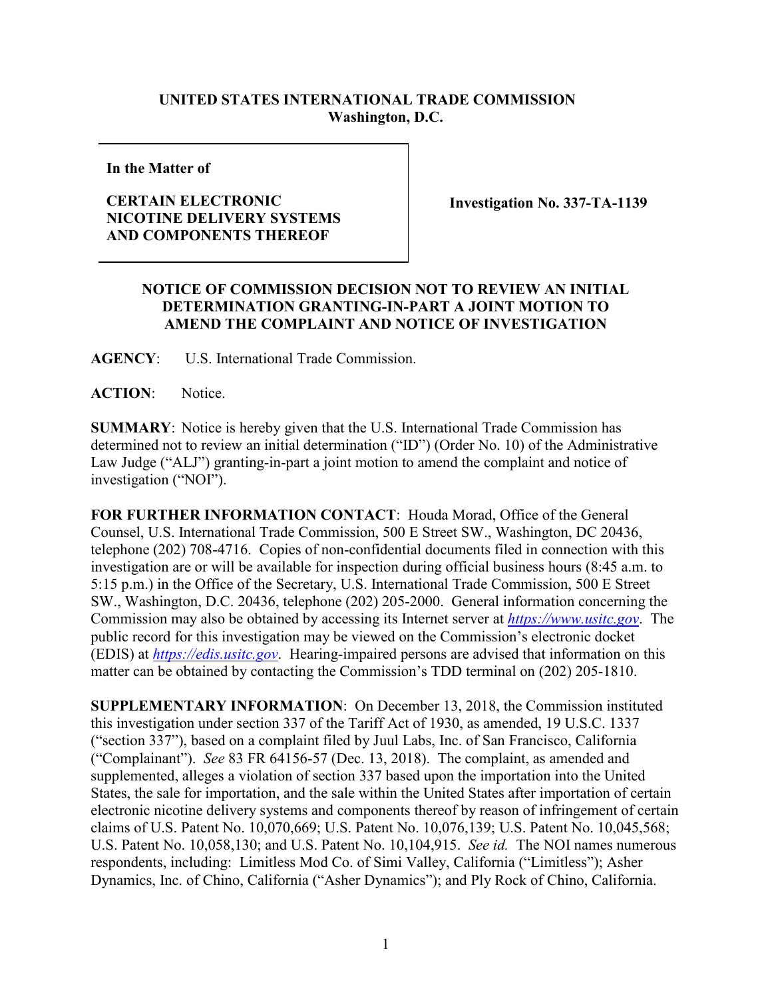## **UNITED STATES INTERNATIONAL TRADE COMMISSION Washington, D.C.**

**In the Matter of**

## **CERTAIN ELECTRONIC NICOTINE DELIVERY SYSTEMS AND COMPONENTS THEREOF**

**Investigation No. 337-TA-1139**

## **NOTICE OF COMMISSION DECISION NOT TO REVIEW AN INITIAL DETERMINATION GRANTING-IN-PART A JOINT MOTION TO AMEND THE COMPLAINT AND NOTICE OF INVESTIGATION**

**AGENCY**: U.S. International Trade Commission.

**ACTION**: Notice.

**SUMMARY**: Notice is hereby given that the U.S. International Trade Commission has determined not to review an initial determination ("ID") (Order No. 10) of the Administrative Law Judge ("ALJ") granting-in-part a joint motion to amend the complaint and notice of investigation ("NOI").

**FOR FURTHER INFORMATION CONTACT**: Houda Morad, Office of the General Counsel, U.S. International Trade Commission, 500 E Street SW., Washington, DC 20436, telephone (202) 708-4716. Copies of non-confidential documents filed in connection with this investigation are or will be available for inspection during official business hours (8:45 a.m. to 5:15 p.m.) in the Office of the Secretary, U.S. International Trade Commission, 500 E Street SW., Washington, D.C. 20436, telephone (202) 205-2000. General information concerning the Commission may also be obtained by accessing its Internet server at *[https://www.usitc.gov](https://www.usitc.gov/)*. The public record for this investigation may be viewed on the Commission's electronic docket (EDIS) at *[https://edis.usitc.gov](http://edis.usitc.gov/)*. Hearing-impaired persons are advised that information on this matter can be obtained by contacting the Commission's TDD terminal on (202) 205-1810.

**SUPPLEMENTARY INFORMATION**: On December 13, 2018, the Commission instituted this investigation under section 337 of the Tariff Act of 1930, as amended, 19 U.S.C. 1337 ("section 337"), based on a complaint filed by Juul Labs, Inc. of San Francisco, California ("Complainant"). *See* 83 FR 64156-57 (Dec. 13, 2018). The complaint, as amended and supplemented, alleges a violation of section 337 based upon the importation into the United States, the sale for importation, and the sale within the United States after importation of certain electronic nicotine delivery systems and components thereof by reason of infringement of certain claims of U.S. Patent No. 10,070,669; U.S. Patent No. 10,076,139; U.S. Patent No. 10,045,568; U.S. Patent No. 10,058,130; and U.S. Patent No. 10,104,915. *See id.* The NOI names numerous respondents, including: Limitless Mod Co. of Simi Valley, California ("Limitless"); Asher Dynamics, Inc. of Chino, California ("Asher Dynamics"); and Ply Rock of Chino, California.